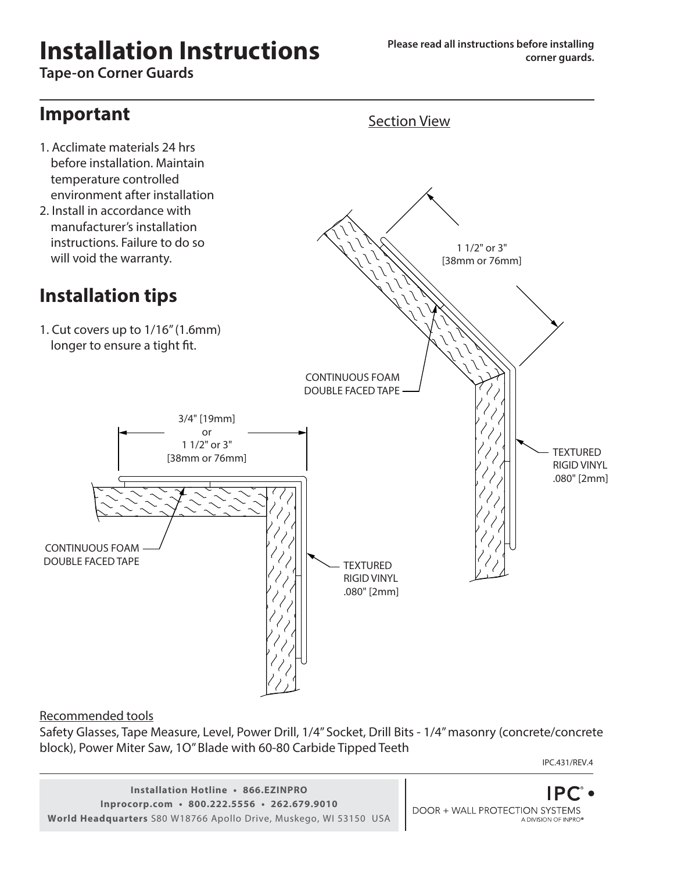# **Installation Instructions**

**Tape-on Corner Guards**

## **Important**

- 1. Acclimate materials 24 hrs before installation. Maintain temperature controlled environment after installation
- 2. Install in accordance with manufacturer's installation instructions. Failure to do so will void the warranty.

## **Installation tips**

1. Cut covers up to 1/16" (1.6mm) longer to ensure a tight fit.



Recommended tools

Safety Glasses, Tape Measure, Level, Power Drill, 1/4" Socket, Drill Bits - 1/4" masonry (concrete/concrete block), Power Miter Saw, 1O" Blade with 60-80 Carbide Tipped Teeth

IPC.431/REV.4

**Installation Hotline • 866.EZINPRO Inprocorp.com • 800.222.5556 • 262.679.9010 World Headquarters** S80 W18766 Apollo Drive, Muskego, WI 53150 USA

**DOOR + WALL PROTECTION SYSTEMS** A DIVISION OF INPRO<sup>®</sup>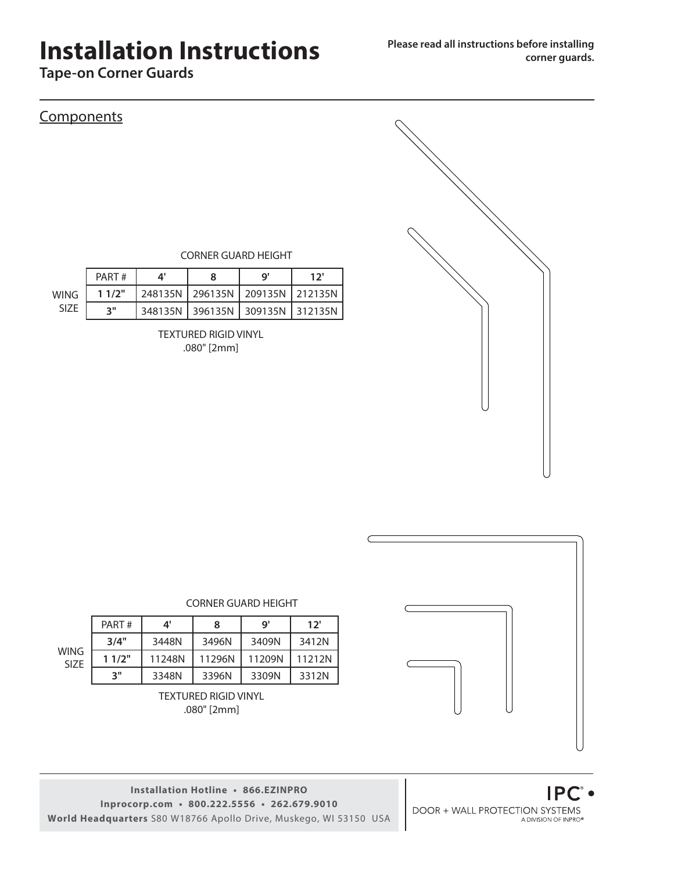# **Installation Instructions**

**Tape-on Corner Guards**

### **Components**

CORNER GUARD HEIGHT

|             | PART# |                                       | o' | יכו |
|-------------|-------|---------------------------------------|----|-----|
| WING        | 11/2" | 248135N   296135N   209135N   212135N |    |     |
| <b>SIZE</b> | ייפ   | 348135N   396135N   309135N   312135N |    |     |

TEXTURED RIGID VINYL .080" [2mm]



CORNER GUARD HEIGHT

|                            | PART# | 4'     | 8      | g'     | 12'    |
|----------------------------|-------|--------|--------|--------|--------|
|                            | 3/4"  | 3448N  | 3496N  | 3409N  | 3412N  |
| <b>WING</b><br><b>SIZE</b> | 11/2" | 11248N | 11296N | 11209N | 11212N |
|                            | יי ד  | 3348N  | 3396N  | 3309N  | 3312N  |

TEXTURED RIGID VINYL .080" [2mm]